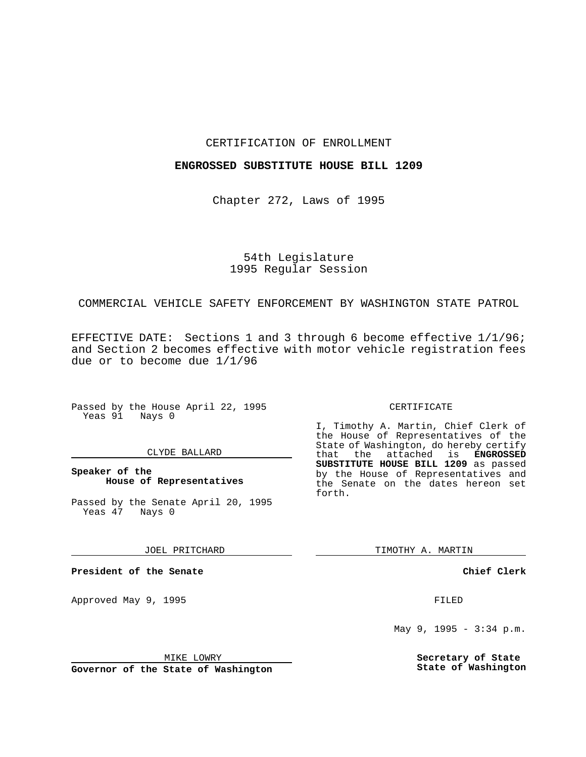## CERTIFICATION OF ENROLLMENT

## **ENGROSSED SUBSTITUTE HOUSE BILL 1209**

Chapter 272, Laws of 1995

# 54th Legislature 1995 Regular Session

## COMMERCIAL VEHICLE SAFETY ENFORCEMENT BY WASHINGTON STATE PATROL

EFFECTIVE DATE: Sections 1 and 3 through 6 become effective 1/1/96; and Section 2 becomes effective with motor vehicle registration fees due or to become due 1/1/96

Passed by the House April 22, 1995 Yeas 91 Nays 0

### CLYDE BALLARD

**Speaker of the House of Representatives**

Passed by the Senate April 20, 1995<br>Yeas 47 Nays 0 Yeas 47

JOEL PRITCHARD

**President of the Senate**

Approved May 9, 1995 **FILED** 

MIKE LOWRY

**Governor of the State of Washington**

#### CERTIFICATE

I, Timothy A. Martin, Chief Clerk of the House of Representatives of the State of Washington, do hereby certify<br>that the attached is **ENGROSSED** the attached is **ENGROSSED SUBSTITUTE HOUSE BILL 1209** as passed by the House of Representatives and the Senate on the dates hereon set forth.

TIMOTHY A. MARTIN

**Chief Clerk**

May 9, 1995 - 3:34 p.m.

**Secretary of State State of Washington**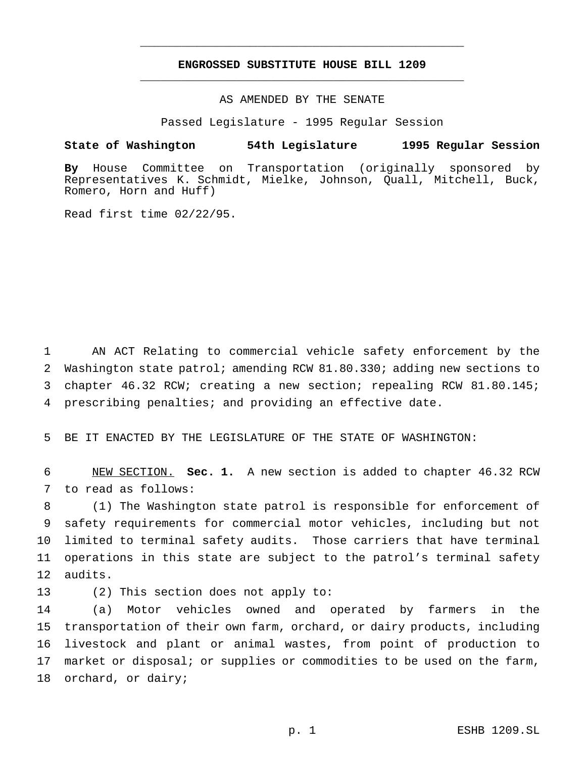## **ENGROSSED SUBSTITUTE HOUSE BILL 1209** \_\_\_\_\_\_\_\_\_\_\_\_\_\_\_\_\_\_\_\_\_\_\_\_\_\_\_\_\_\_\_\_\_\_\_\_\_\_\_\_\_\_\_\_\_\_\_

\_\_\_\_\_\_\_\_\_\_\_\_\_\_\_\_\_\_\_\_\_\_\_\_\_\_\_\_\_\_\_\_\_\_\_\_\_\_\_\_\_\_\_\_\_\_\_

AS AMENDED BY THE SENATE

Passed Legislature - 1995 Regular Session

## **State of Washington 54th Legislature 1995 Regular Session**

**By** House Committee on Transportation (originally sponsored by Representatives K. Schmidt, Mielke, Johnson, Quall, Mitchell, Buck, Romero, Horn and Huff)

Read first time 02/22/95.

 AN ACT Relating to commercial vehicle safety enforcement by the Washington state patrol; amending RCW 81.80.330; adding new sections to chapter 46.32 RCW; creating a new section; repealing RCW 81.80.145; prescribing penalties; and providing an effective date.

5 BE IT ENACTED BY THE LEGISLATURE OF THE STATE OF WASHINGTON:

6 NEW SECTION. **Sec. 1.** A new section is added to chapter 46.32 RCW 7 to read as follows:

 (1) The Washington state patrol is responsible for enforcement of safety requirements for commercial motor vehicles, including but not limited to terminal safety audits. Those carriers that have terminal operations in this state are subject to the patrol's terminal safety 12 audits.

13 (2) This section does not apply to:

 (a) Motor vehicles owned and operated by farmers in the transportation of their own farm, orchard, or dairy products, including livestock and plant or animal wastes, from point of production to 17 market or disposal; or supplies or commodities to be used on the farm, orchard, or dairy;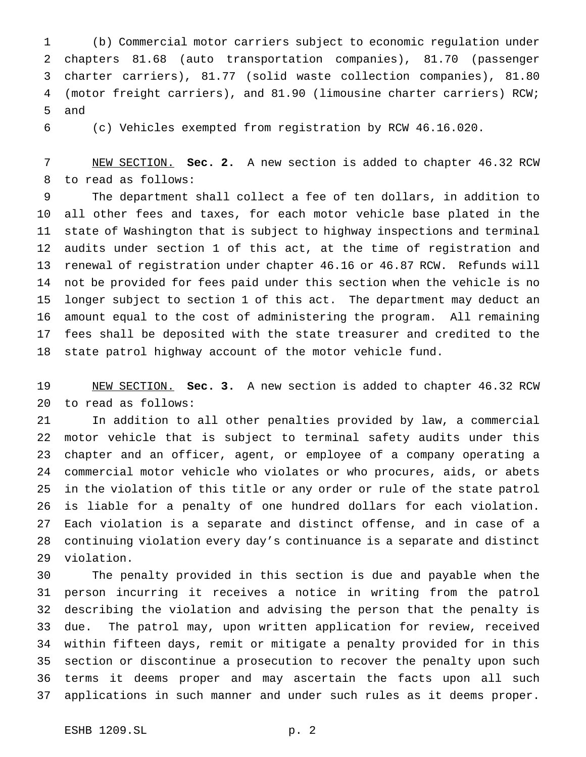(b) Commercial motor carriers subject to economic regulation under chapters 81.68 (auto transportation companies), 81.70 (passenger charter carriers), 81.77 (solid waste collection companies), 81.80 (motor freight carriers), and 81.90 (limousine charter carriers) RCW; and

(c) Vehicles exempted from registration by RCW 46.16.020.

 NEW SECTION. **Sec. 2.** A new section is added to chapter 46.32 RCW to read as follows:

 The department shall collect a fee of ten dollars, in addition to all other fees and taxes, for each motor vehicle base plated in the state of Washington that is subject to highway inspections and terminal audits under section 1 of this act, at the time of registration and renewal of registration under chapter 46.16 or 46.87 RCW. Refunds will not be provided for fees paid under this section when the vehicle is no longer subject to section 1 of this act. The department may deduct an amount equal to the cost of administering the program. All remaining fees shall be deposited with the state treasurer and credited to the state patrol highway account of the motor vehicle fund.

 NEW SECTION. **Sec. 3.** A new section is added to chapter 46.32 RCW to read as follows:

 In addition to all other penalties provided by law, a commercial motor vehicle that is subject to terminal safety audits under this chapter and an officer, agent, or employee of a company operating a commercial motor vehicle who violates or who procures, aids, or abets in the violation of this title or any order or rule of the state patrol is liable for a penalty of one hundred dollars for each violation. Each violation is a separate and distinct offense, and in case of a continuing violation every day's continuance is a separate and distinct violation.

 The penalty provided in this section is due and payable when the person incurring it receives a notice in writing from the patrol describing the violation and advising the person that the penalty is due. The patrol may, upon written application for review, received within fifteen days, remit or mitigate a penalty provided for in this section or discontinue a prosecution to recover the penalty upon such terms it deems proper and may ascertain the facts upon all such applications in such manner and under such rules as it deems proper.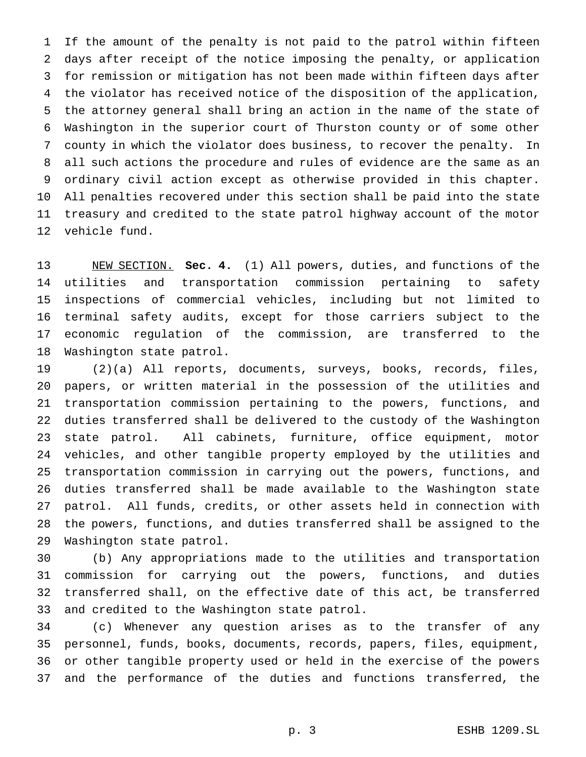If the amount of the penalty is not paid to the patrol within fifteen days after receipt of the notice imposing the penalty, or application for remission or mitigation has not been made within fifteen days after the violator has received notice of the disposition of the application, the attorney general shall bring an action in the name of the state of Washington in the superior court of Thurston county or of some other county in which the violator does business, to recover the penalty. In all such actions the procedure and rules of evidence are the same as an ordinary civil action except as otherwise provided in this chapter. All penalties recovered under this section shall be paid into the state treasury and credited to the state patrol highway account of the motor vehicle fund.

 NEW SECTION. **Sec. 4.** (1) All powers, duties, and functions of the utilities and transportation commission pertaining to safety inspections of commercial vehicles, including but not limited to terminal safety audits, except for those carriers subject to the economic regulation of the commission, are transferred to the Washington state patrol.

 (2)(a) All reports, documents, surveys, books, records, files, papers, or written material in the possession of the utilities and transportation commission pertaining to the powers, functions, and duties transferred shall be delivered to the custody of the Washington state patrol. All cabinets, furniture, office equipment, motor vehicles, and other tangible property employed by the utilities and transportation commission in carrying out the powers, functions, and duties transferred shall be made available to the Washington state patrol. All funds, credits, or other assets held in connection with the powers, functions, and duties transferred shall be assigned to the Washington state patrol.

 (b) Any appropriations made to the utilities and transportation commission for carrying out the powers, functions, and duties transferred shall, on the effective date of this act, be transferred and credited to the Washington state patrol.

 (c) Whenever any question arises as to the transfer of any personnel, funds, books, documents, records, papers, files, equipment, or other tangible property used or held in the exercise of the powers and the performance of the duties and functions transferred, the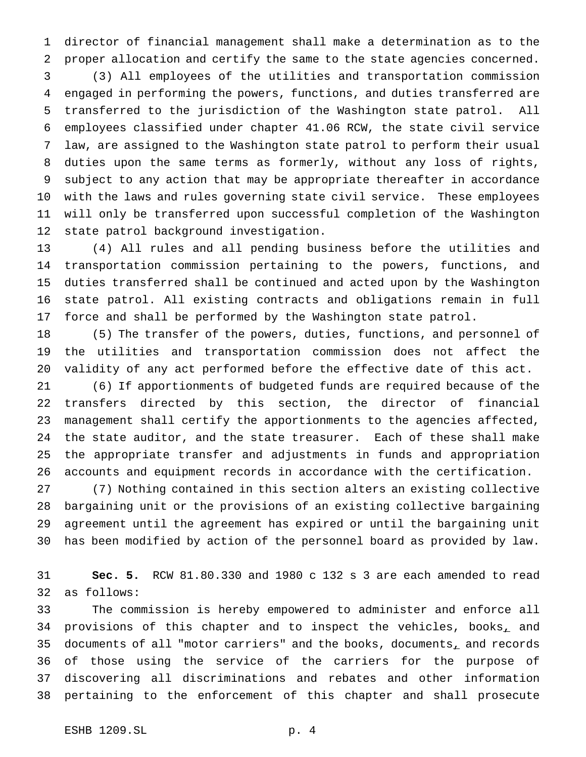director of financial management shall make a determination as to the proper allocation and certify the same to the state agencies concerned.

 (3) All employees of the utilities and transportation commission engaged in performing the powers, functions, and duties transferred are transferred to the jurisdiction of the Washington state patrol. All employees classified under chapter 41.06 RCW, the state civil service law, are assigned to the Washington state patrol to perform their usual duties upon the same terms as formerly, without any loss of rights, subject to any action that may be appropriate thereafter in accordance with the laws and rules governing state civil service. These employees will only be transferred upon successful completion of the Washington state patrol background investigation.

 (4) All rules and all pending business before the utilities and transportation commission pertaining to the powers, functions, and duties transferred shall be continued and acted upon by the Washington state patrol. All existing contracts and obligations remain in full force and shall be performed by the Washington state patrol.

 (5) The transfer of the powers, duties, functions, and personnel of the utilities and transportation commission does not affect the validity of any act performed before the effective date of this act.

 (6) If apportionments of budgeted funds are required because of the transfers directed by this section, the director of financial management shall certify the apportionments to the agencies affected, the state auditor, and the state treasurer. Each of these shall make the appropriate transfer and adjustments in funds and appropriation accounts and equipment records in accordance with the certification.

 (7) Nothing contained in this section alters an existing collective bargaining unit or the provisions of an existing collective bargaining agreement until the agreement has expired or until the bargaining unit has been modified by action of the personnel board as provided by law.

 **Sec. 5.** RCW 81.80.330 and 1980 c 132 s 3 are each amended to read as follows:

 The commission is hereby empowered to administer and enforce all 34 provisions of this chapter and to inspect the vehicles, books, and 35 documents of all "motor carriers" and the books, documents, and records of those using the service of the carriers for the purpose of discovering all discriminations and rebates and other information pertaining to the enforcement of this chapter and shall prosecute